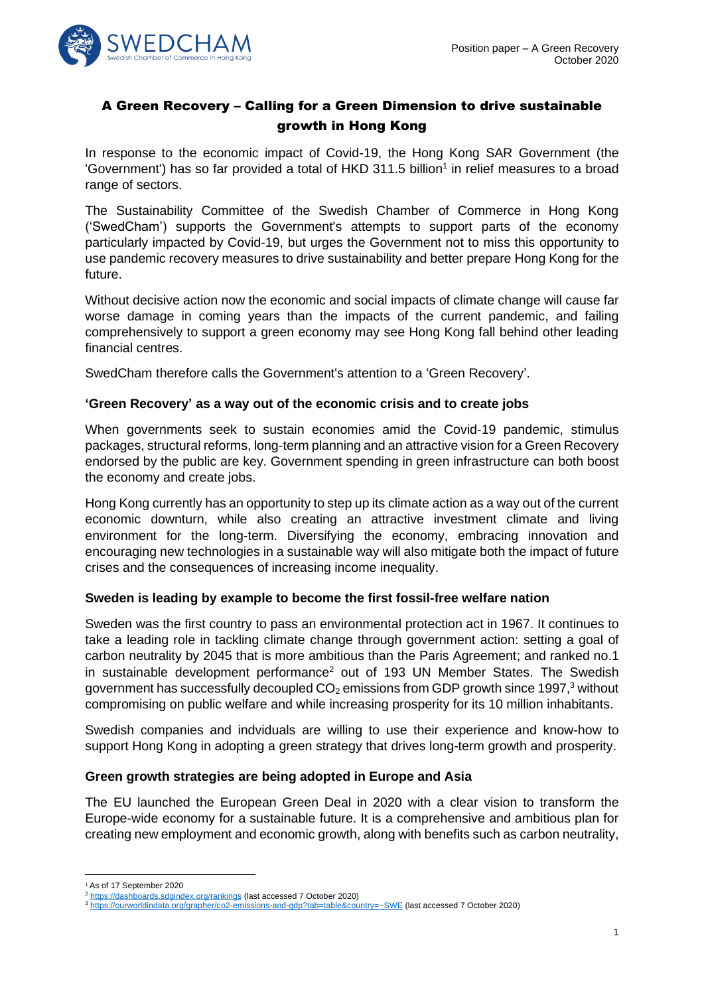

# A Green Recovery – Calling for a Green Dimension to drive sustainable growth in Hong Kong

In response to the economic impact of Covid-19, the Hong Kong SAR Government (the 'Government') has so far provided a total of HKD 311.5 billion<sup>1</sup> in relief measures to a broad range of sectors.

The Sustainability Committee of the Swedish Chamber of Commerce in Hong Kong ('SwedCham') supports the Government's attempts to support parts of the economy particularly impacted by Covid-19, but urges the Government not to miss this opportunity to use pandemic recovery measures to drive sustainability and better prepare Hong Kong for the future.

Without decisive action now the economic and social impacts of climate change will cause far worse damage in coming years than the impacts of the current pandemic, and failing comprehensively to support a green economy may see Hong Kong fall behind other leading financial centres.

SwedCham therefore calls the Government's attention to a 'Green Recovery'.

### **'Green Recovery' as a way out of the economic crisis and to create jobs**

When governments seek to sustain economies amid the Covid-19 pandemic, stimulus packages, structural reforms, long-term planning and an attractive vision for a Green Recovery endorsed by the public are key. Government spending in green infrastructure can both boost the economy and create jobs.

Hong Kong currently has an opportunity to step up its climate action as a way out of the current economic downturn, while also creating an attractive investment climate and living environment for the long-term. Diversifying the economy, embracing innovation and encouraging new technologies in a sustainable way will also mitigate both the impact of future crises and the consequences of increasing income inequality.

#### **Sweden is leading by example to become the first fossil-free welfare nation**

Sweden was the first country to pass an environmental protection act in 1967. It continues to take a leading role in tackling climate change through government action: setting a goal of carbon neutrality by 2045 that is more ambitious than the Paris Agreement; and ranked no.1 in sustainable development performance<sup>2</sup> out of 193 UN Member States. The Swedish government has successfully decoupled  $CO<sub>2</sub>$  emissions from GDP growth since 1997,<sup>3</sup> without compromising on public welfare and while increasing prosperity for its 10 million inhabitants.

Swedish companies and indviduals are willing to use their experience and know-how to support Hong Kong in adopting a green strategy that drives long-term growth and prosperity.

# **Green growth strategies are being adopted in Europe and Asia**

The EU launched the European Green Deal in 2020 with a clear vision to transform the Europe-wide economy for a sustainable future. It is a comprehensive and ambitious plan for creating new employment and economic growth, along with benefits such as carbon neutrality,

<sup>&</sup>lt;sup>1</sup> As of 17 September 2020

<sup>2</sup> <https://dashboards.sdgindex.org/rankings> (last accessed 7 October 2020)

<sup>3</sup> <https://ourworldindata.org/grapher/co2-emissions-and-gdp?tab=table&country=~SWE> (last accessed 7 October 2020)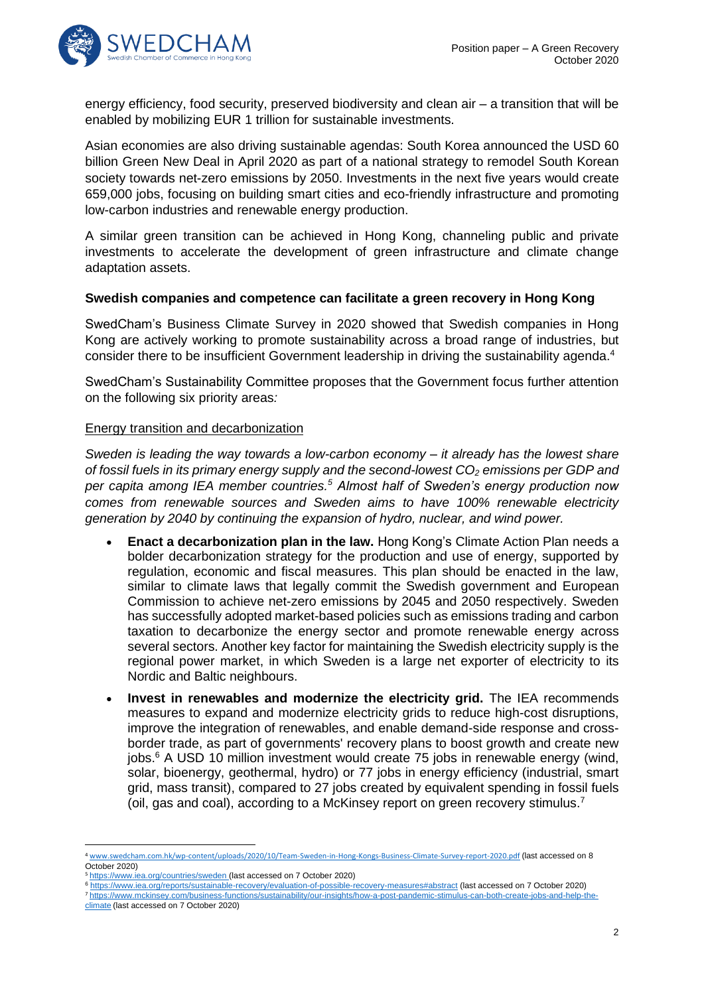

energy efficiency, food security, preserved biodiversity and clean air – a transition that will be enabled by mobilizing EUR 1 trillion for sustainable investments.

Asian economies are also driving sustainable agendas: South Korea announced the USD 60 billion Green New Deal in April 2020 as part of a national strategy to remodel South Korean society towards net-zero emissions by 2050. Investments in the next five years would create 659,000 jobs, focusing on building smart cities and eco-friendly infrastructure and promoting low-carbon industries and renewable energy production.

A similar green transition can be achieved in Hong Kong, channeling public and private investments to accelerate the development of green infrastructure and climate change adaptation assets.

### **Swedish companies and competence can facilitate a green recovery in Hong Kong**

SwedCham's Business Climate Survey in 2020 showed that Swedish companies in Hong Kong are actively working to promote sustainability across a broad range of industries, but consider there to be insufficient Government leadership in driving the sustainability agenda.<sup>4</sup>

SwedCham's Sustainability Committee proposes that the Government focus further attention on the following six priority areas*:*

### Energy transition and decarbonization

*Sweden is leading the way towards a low-carbon economy – it already has the lowest share of fossil fuels in its primary energy supply and the second-lowest CO<sup>2</sup> emissions per GDP and per capita among IEA member countries.<sup>5</sup> Almost half of Sweden's energy production now comes from renewable sources and Sweden aims to have 100% renewable electricity generation by 2040 by continuing the expansion of hydro, nuclear, and wind power.*

- **Enact a decarbonization plan in the law.** Hong Kong's Climate Action Plan needs a bolder decarbonization strategy for the production and use of energy, supported by regulation, economic and fiscal measures. This plan should be enacted in the law, similar to climate laws that legally commit the Swedish government and European Commission to achieve net-zero emissions by 2045 and 2050 respectively. Sweden has successfully adopted market-based policies such as emissions trading and carbon taxation to decarbonize the energy sector and promote renewable energy across several sectors. Another key factor for maintaining the Swedish electricity supply is the regional power market, in which Sweden is a large net exporter of electricity to its Nordic and Baltic neighbours.
- **Invest in renewables and modernize the electricity grid.** The IEA recommends measures to expand and modernize electricity grids to reduce high-cost disruptions, improve the integration of renewables, and enable demand-side response and crossborder trade, as part of governments' recovery plans to boost growth and create new jobs. <sup>6</sup> A USD 10 million investment would create 75 jobs in renewable energy (wind, solar, bioenergy, geothermal, hydro) or 77 jobs in energy efficiency (industrial, smart grid, mass transit), compared to 27 jobs created by equivalent spending in fossil fuels (oil, gas and coal), according to a McKinsey report on green recovery stimulus.<sup>7</sup>

<sup>6</sup> <https://www.iea.org/reports/sustainable-recovery/evaluation-of-possible-recovery-measures#abstract> (last accessed on 7 October 2020) <sup>7</sup> [https://www.mckinsey.com/business-functions/sustainability/our-insights/how-a-post-pandemic-stimulus-can-both-create-jobs-and-help-the-](https://www.mckinsey.com/business-functions/sustainability/our-insights/how-a-post-pandemic-stimulus-can-both-create-jobs-and-help-the-climate)

<sup>4</sup> [www.swedcham.com.hk/wp-content/uploads/2020/10/Team-Sweden-in-Hong-Kongs-Business-Climate-Survey-report-2020.pdf](http://www.swedcham.com.hk/wp-content/uploads/2020/10/Team-Sweden-in-Hong-Kongs-Business-Climate-Survey-report-2020.pdf) (last accessed on 8 October 2020)

<sup>5</sup> <https://www.iea.org/countries/sweden> (last accessed on 7 October 2020)

[climate](https://www.mckinsey.com/business-functions/sustainability/our-insights/how-a-post-pandemic-stimulus-can-both-create-jobs-and-help-the-climate) (last accessed on 7 October 2020)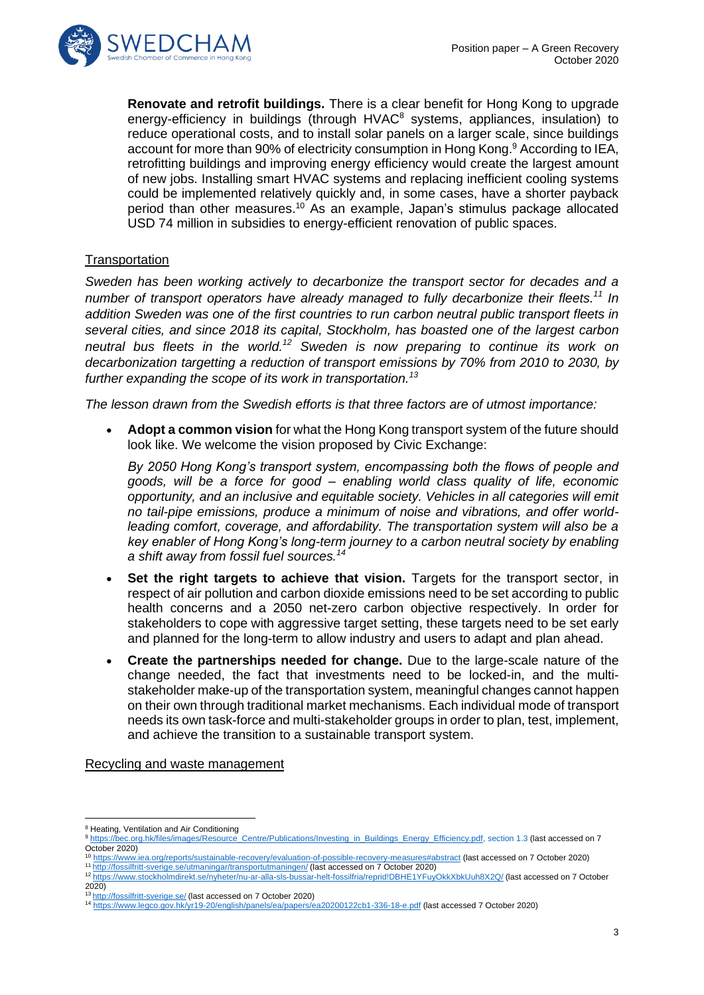

**Renovate and retrofit buildings.** There is a clear benefit for Hong Kong to upgrade energy-efficiency in buildings (through HVAC<sup>8</sup> systems, appliances, insulation) to reduce operational costs, and to install solar panels on a larger scale, since buildings account for more than 90% of electricity consumption in Hong Kong. <sup>9</sup> According to IEA, retrofitting buildings and improving energy efficiency would create the largest amount of new jobs. Installing smart HVAC systems and replacing inefficient cooling systems could be implemented relatively quickly and, in some cases, have a shorter payback period than other measures.<sup>10</sup> As an example, Japan's stimulus package allocated USD 74 million in subsidies to energy-efficient renovation of public spaces.

# **Transportation**

*Sweden has been working actively to decarbonize the transport sector for decades and a number of transport operators have already managed to fully decarbonize their fleets. <sup>11</sup> In addition Sweden was one of the first countries to run carbon neutral public transport fleets in several cities, and since 2018 its capital, Stockholm, has boasted one of the largest carbon neutral bus fleets in the world. <sup>12</sup> Sweden is now preparing to continue its work on decarbonization targetting a reduction of transport emissions by 70% from 2010 to 2030, by further expanding the scope of its work in transportation. 13*

*The lesson drawn from the Swedish efforts is that three factors are of utmost importance:*

• **Adopt a common vision** for what the Hong Kong transport system of the future should look like. We welcome the vision proposed by Civic Exchange:

*By 2050 Hong Kong's transport system, encompassing both the flows of people and goods, will be a force for good – enabling world class quality of life, economic opportunity, and an inclusive and equitable society. Vehicles in all categories will emit no tail-pipe emissions, produce a minimum of noise and vibrations, and offer worldleading comfort, coverage, and affordability. The transportation system will also be a key enabler of Hong Kong's long-term journey to a carbon neutral society by enabling a shift away from fossil fuel sources.<sup>14</sup>*

- **Set the right targets to achieve that vision.** Targets for the transport sector, in respect of air pollution and carbon dioxide emissions need to be set according to public health concerns and a 2050 net-zero carbon objective respectively. In order for stakeholders to cope with aggressive target setting, these targets need to be set early and planned for the long-term to allow industry and users to adapt and plan ahead.
- **Create the partnerships needed for change.** Due to the large-scale nature of the change needed, the fact that investments need to be locked-in, and the multistakeholder make-up of the transportation system, meaningful changes cannot happen on their own through traditional market mechanisms. Each individual mode of transport needs its own task-force and multi-stakeholder groups in order to plan, test, implement, and achieve the transition to a sustainable transport system.

Recycling and waste management

<sup>8</sup> Heating, Ventilation and Air Conditioning

<sup>9</sup> [https://bec.org.hk/files/images/Resource\\_Centre/Publications/Investing\\_in\\_Buildings\\_Energy\\_Efficiency.pdf,](https://bec.org.hk/files/images/Resource_Centre/Publications/Investing_in_Buildings_Energy_Efficiency.pdf) section 1.3 (last accessed on 7 October 2020)

<sup>10</sup> <https://www.iea.org/reports/sustainable-recovery/evaluation-of-possible-recovery-measures#abstract> (last accessed on 7 October 2020) <sup>11</sup> <http://fossilfritt-sverige.se/utmaningar/transportutmaningen/> (last accessed on 7 October 2020)

<sup>12</sup> <https://www.stockholmdirekt.se/nyheter/nu-ar-alla-sls-bussar-helt-fossilfria/reprid!DBHE1YFuyOkkXbkUuh8X2Q/> (last accessed on 7 October 2020)

<sup>13</sup> <http://fossilfritt-sverige.se/> (last accessed on 7 October 2020)

<sup>14</sup> <https://www.legco.gov.hk/yr19-20/english/panels/ea/papers/ea20200122cb1-336-18-e.pdf> (last accessed 7 October 2020)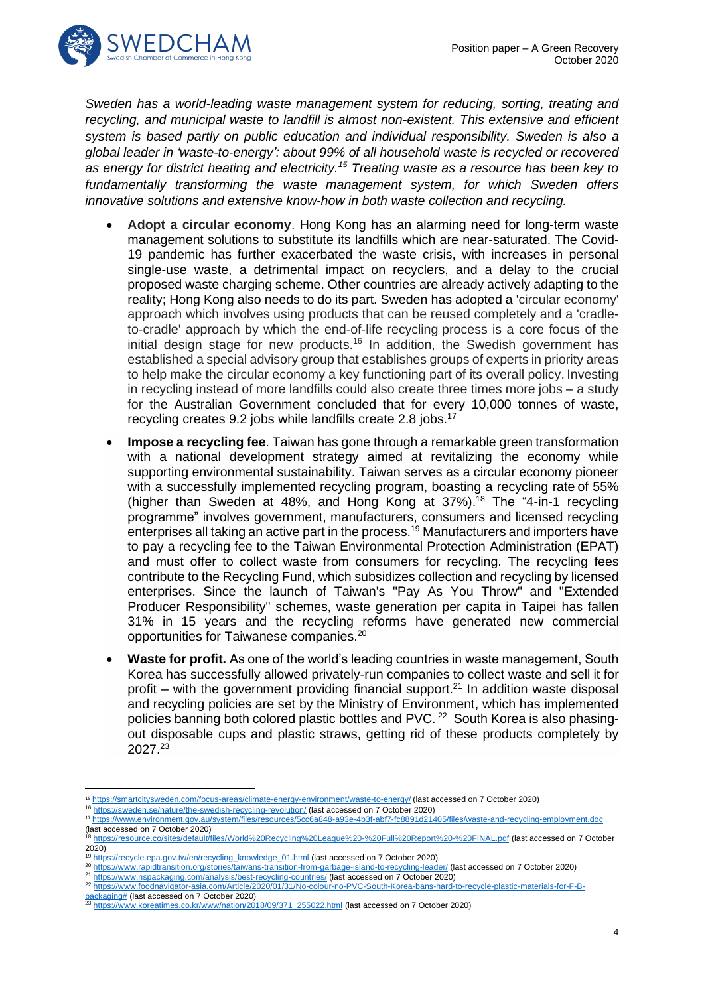

*Sweden has a world-leading waste management system for reducing, sorting, treating and recycling, and municipal waste to landfill is almost non-existent. This extensive and efficient system is based partly on public education and individual responsibility. Sweden is also a global leader in ʻwaste-to-energy': about 99% of all household waste is recycled or recovered as energy for district heating and electricity.<sup>15</sup> Treating waste as a resource has been key to fundamentally transforming the waste management system, for which Sweden offers innovative solutions and extensive know-how in both waste collection and recycling.* 

- **Adopt a circular economy**. Hong Kong has an alarming need for long-term waste management solutions to substitute its landfills which are near-saturated. The Covid-19 pandemic has further exacerbated the waste crisis, with increases in personal single-use waste, a detrimental impact on recyclers, and a delay to the crucial proposed waste charging scheme. Other countries are already actively adapting to the reality; Hong Kong also needs to do its part. Sweden has adopted a 'circular economy' approach which involves using products that can be reused completely and a 'cradleto-cradle' approach by which the end-of-life recycling process is a core focus of the initial design stage for new products.<sup>16</sup> In addition, the Swedish government has established a special advisory group that establishes groups of experts in priority areas to help make the circular economy a key functioning part of its overall policy. Investing in recycling instead of more landfills could also create three times more jobs – a study for the Australian Government concluded that for every 10,000 tonnes of waste, recycling creates 9.2 jobs while landfills create 2.8 jobs.<sup>17</sup>
- **Impose a recycling fee**. Taiwan has gone through a remarkable green transformation with a national development strategy aimed at revitalizing the economy while supporting environmental sustainability. Taiwan serves as a circular economy pioneer with a successfully implemented recycling program, boasting a recycling rate of 55% (higher than Sweden at 48%, and Hong Kong at 37%). <sup>18</sup> The "4-in-1 recycling programme" involves government, manufacturers, consumers and licensed recycling enterprises all taking an active part in the process.<sup>19</sup> Manufacturers and importers have to pay a recycling fee to the Taiwan Environmental Protection Administration (EPAT) and must offer to collect waste from consumers for recycling. The recycling fees contribute to the Recycling Fund, which subsidizes collection and recycling by licensed enterprises. Since the launch of Taiwan's "Pay As You Throw" and "Extended Producer Responsibility" schemes, waste generation per capita in Taipei has fallen 31% in 15 years and the recycling reforms have generated new commercial opportunities for Taiwanese companies.<sup>20</sup>
- **Waste for profit.** As one of the world's leading countries in waste management, South Korea has successfully allowed privately-run companies to collect waste and sell it for profit – with the government providing financial support. $^{21}$  In addition waste disposal and recycling policies are set by the Ministry of Environment, which has implemented policies banning both colored plastic bottles and PVC. <sup>22</sup> South Korea is also phasingout disposable cups and plastic straws, getting rid of these products completely by 2027.<sup>23</sup>

<sup>15</sup> <https://smartcitysweden.com/focus-areas/climate-energy-environment/waste-to-energy/> (last accessed on 7 October 2020)

<sup>16</sup> <https://sweden.se/nature/the-swedish-recycling-revolution/> (last accessed on 7 October 2020)

<sup>17</sup> <https://www.environment.gov.au/system/files/resources/5cc6a848-a93e-4b3f-abf7-fc8891d21405/files/waste-and-recycling-employment.doc>

<sup>(</sup>last accessed on 7 October 2020)

<sup>18</sup> <https://resource.co/sites/default/files/World%20Recycling%20League%20-%20Full%20Report%20-%20FINAL.pdf> (last accessed on 7 October 2020)

<sup>&</sup>lt;sup>19</sup> [https://recycle.epa.gov.tw/en/recycling\\_knowledge\\_01.html](https://recycle.epa.gov.tw/en/recycling_knowledge_01.html) (last accessed on 7 October 2020)

<sup>20</sup> <https://www.rapidtransition.org/stories/taiwans-transition-from-garbage-island-to-recycling-leader/> (last accessed on 7 October 2020)

<sup>21</sup> <https://www.nspackaging.com/analysis/best-recycling-countries/> (last accessed on 7 October 2020)

<sup>22</sup> [https://www.foodnavigator-asia.com/Article/2020/01/31/No-colour-no-PVC-South-Korea-bans-hard-to-recycle-plastic-materials-for-F-B-](https://www.foodnavigator-asia.com/Article/2020/01/31/No-colour-no-PVC-South-Korea-bans-hard-to-recycle-plastic-materials-for-F-B-packaging)

[packaging#](https://www.foodnavigator-asia.com/Article/2020/01/31/No-colour-no-PVC-South-Korea-bans-hard-to-recycle-plastic-materials-for-F-B-packaging) (last accessed on 7 October 2020) <sup>23</sup> [https://www.koreatimes.co.kr/www/nation/2018/09/371\\_255022.html](https://www.koreatimes.co.kr/www/nation/2018/09/371_255022.html) (last accessed on 7 October 2020)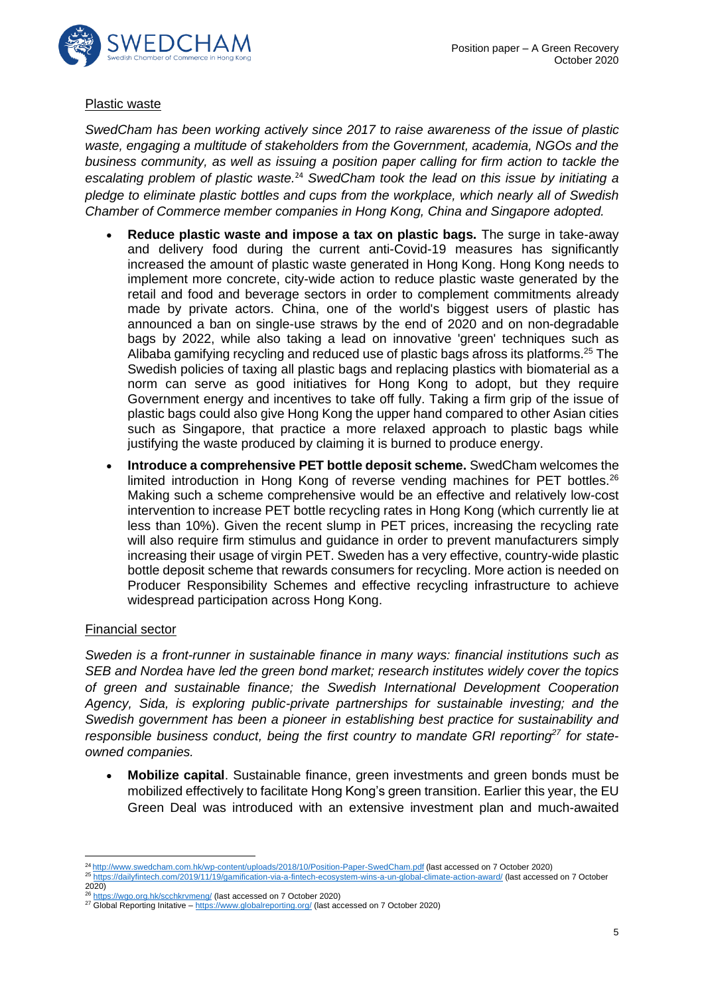

### Plastic waste

*SwedCham has been working actively since 2017 to raise awareness of the issue of plastic waste, engaging a multitude of stakeholders from the Government, academia, NGOs and the business community, as well as issuing a position paper calling for firm action to tackle the escalating problem of plastic waste.*<sup>24</sup> *SwedCham took the lead on this issue by initiating a pledge to eliminate plastic bottles and cups from the workplace, which nearly all of Swedish Chamber of Commerce member companies in Hong Kong, China and Singapore adopted.*

- **Reduce plastic waste and impose a tax on plastic bags.** The surge in take-away and delivery food during the current anti-Covid-19 measures has significantly increased the amount of plastic waste generated in Hong Kong. Hong Kong needs to implement more concrete, city-wide action to reduce plastic waste generated by the retail and food and beverage sectors in order to complement commitments already made by private actors. China, one of the world's biggest users of plastic has announced a ban on single-use straws by the end of 2020 and on non-degradable bags by 2022, while also taking a lead on innovative 'green' techniques such as Alibaba gamifying recycling and reduced use of plastic bags afross its platforms.<sup>25</sup> The Swedish policies of taxing all plastic bags and replacing plastics with biomaterial as a norm can serve as good initiatives for Hong Kong to adopt, but they require Government energy and incentives to take off fully. Taking a firm grip of the issue of plastic bags could also give Hong Kong the upper hand compared to other Asian cities such as Singapore, that practice a more relaxed approach to plastic bags while justifying the waste produced by claiming it is burned to produce energy.
- **Introduce a comprehensive PET bottle deposit scheme.** SwedCham welcomes the limited introduction in Hong Kong of reverse vending machines for PET bottles.<sup>26</sup> Making such a scheme comprehensive would be an effective and relatively low-cost intervention to increase PET bottle recycling rates in Hong Kong (which currently lie at less than 10%). Given the recent slump in PET prices, increasing the recycling rate will also require firm stimulus and guidance in order to prevent manufacturers simply increasing their usage of virgin PET. Sweden has a very effective, country-wide plastic bottle deposit scheme that rewards consumers for recycling. More action is needed on Producer Responsibility Schemes and effective recycling infrastructure to achieve widespread participation across Hong Kong.

# Financial sector

*Sweden is a front-runner in sustainable finance in many ways: financial institutions such as SEB and Nordea have led the green bond market; research institutes widely cover the topics of green and sustainable finance; the Swedish International Development Cooperation Agency, Sida, is exploring public-private partnerships for sustainable investing; and the Swedish government has been a pioneer in establishing best practice for sustainability and responsible business conduct, being the first country to mandate GRI reporting<sup>27</sup> for stateowned companies.*

• **Mobilize capital**. Sustainable finance, green investments and green bonds must be mobilized effectively to facilitate Hong Kong's green transition. Earlier this year, the EU Green Deal was introduced with an extensive investment plan and much-awaited

<sup>24</sup> <http://www.swedcham.com.hk/wp-content/uploads/2018/10/Position-Paper-SwedCham.pdf> (last accessed on 7 October 2020)

<sup>25</sup> <https://dailyfintech.com/2019/11/19/gamification-via-a-fintech-ecosystem-wins-a-un-global-climate-action-award/> (last accessed on 7 October

 $20\overline{2}0$ 

<sup>26</sup> <https://wgo.org.hk/scchkrvmeng/> (last accessed on 7 October 2020)

<sup>&</sup>lt;sup>27</sup> Global Reporting Initative – <https://www.globalreporting.org/> (last accessed on 7 October 2020)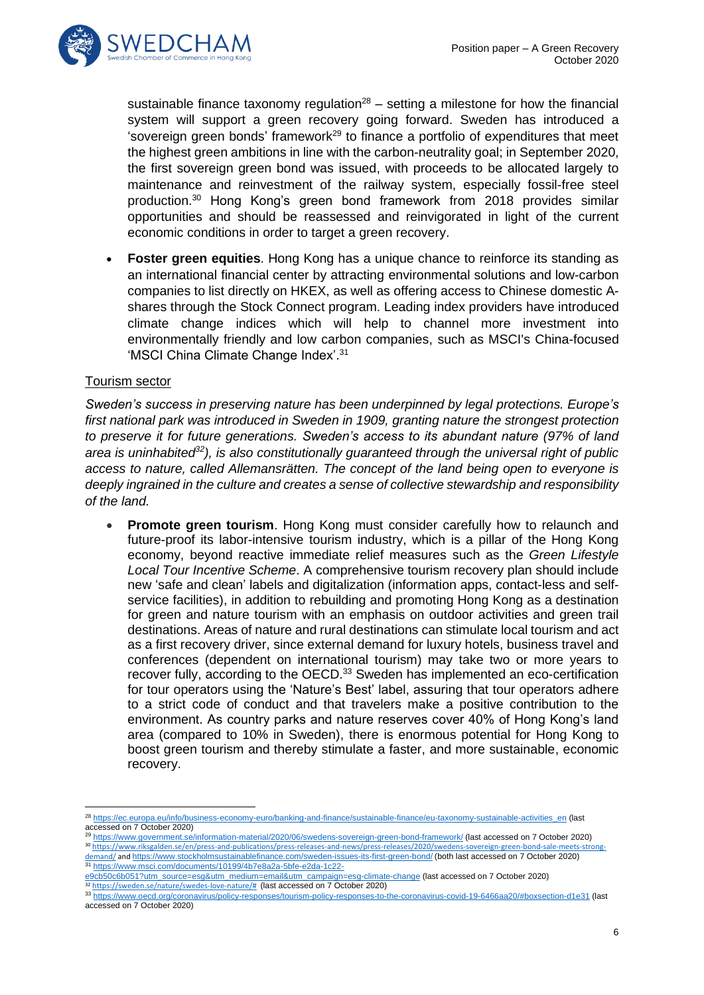

sustainable finance taxonomy regulation<sup>28</sup> – setting a milestone for how the financial system will support a green recovery going forward. Sweden has introduced a 'sovereign green bonds' framework<sup>29</sup> to finance a portfolio of expenditures that meet the highest green ambitions in line with the carbon-neutrality goal; in September 2020, the first sovereign green bond was issued, with proceeds to be allocated largely to maintenance and reinvestment of the railway system, especially fossil-free steel production.<sup>30</sup> Hong Kong's green bond framework from 2018 provides similar opportunities and should be reassessed and reinvigorated in light of the current economic conditions in order to target a green recovery.

• **Foster green equities**. Hong Kong has a unique chance to reinforce its standing as an international financial center by attracting environmental solutions and low-carbon companies to list directly on HKEX, as well as offering access to Chinese domestic Ashares through the Stock Connect program. Leading index providers have introduced climate change indices which will help to channel more investment into environmentally friendly and low carbon companies, such as MSCI's China-focused ʻMSCI China Climate Change Index'. 31

# Tourism sector

*Sweden's success in preserving nature has been underpinned by legal protections. Europe's first national park was introduced in Sweden in 1909, granting nature the strongest protection to preserve it for future generations. Sweden's access to its abundant nature (97% of land area is uninhabited<sup>32</sup>), is also constitutionally guaranteed through the universal right of public access to nature, called Allemansrätten. The concept of the land being open to everyone is deeply ingrained in the culture and creates a sense of collective stewardship and responsibility of the land.* 

• **Promote green tourism**. Hong Kong must consider carefully how to relaunch and future-proof its labor-intensive tourism industry, which is a pillar of the Hong Kong economy, beyond reactive immediate relief measures such as the *Green Lifestyle Local Tour Incentive Scheme*. A comprehensive tourism recovery plan should include new ʻsafe and clean' labels and digitalization (information apps, contact-less and selfservice facilities), in addition to rebuilding and promoting Hong Kong as a destination for green and nature tourism with an emphasis on outdoor activities and green trail destinations. Areas of nature and rural destinations can stimulate local tourism and act as a first recovery driver, since external demand for luxury hotels, business travel and conferences (dependent on international tourism) may take two or more years to recover fully, according to the OECD.<sup>33</sup> Sweden has implemented an eco-certification for tour operators using the 'Nature's Best' label, assuring that tour operators adhere to a strict code of conduct and that travelers make a positive contribution to the environment. As country parks and nature reserves cover 40% of Hong Kong's land area (compared to 10% in Sweden), there is enormous potential for Hong Kong to boost green tourism and thereby stimulate a faster, and more sustainable, economic recovery.

<sup>29</sup> <https://www.government.se/information-material/2020/06/swedens-sovereign-green-bond-framework/> (last accessed on 7 October 2020)

<sup>28</sup> [https://ec.europa.eu/info/business-economy-euro/banking-and-finance/sustainable-finance/eu-taxonomy-sustainable-activities\\_en](https://ec.europa.eu/info/business-economy-euro/banking-and-finance/sustainable-finance/eu-taxonomy-sustainable-activities_en) (last accessed on 7 October 2020)

<sup>30</sup> [https://www.riksgalden.se/en/press-and-publications/press-releases-and-news/press-releases/2020/swedens-sovereign-green-bond-sale-meets-strong](https://www.riksgalden.se/en/press-and-publications/press-releases-and-news/press-releases/2020/swedens-sovereign-green-bond-sale-meets-strong-demand/)<u>[demand/](https://www.riksgalden.se/en/press-and-publications/press-releases-and-news/press-releases/2020/swedens-sovereign-green-bond-sale-meets-strong-demand/)</u> and <u><https://www.stockholmsustainablefinance.com/sweden-issues-its-first-green-bond/></u> (both last accessed on 7 October 2020)<br><sup>31</sup> [https://www.msci.com/documents/10199/4b7e8a2a-5bfe-e2da-1c22-](https://www.msci.com/documents/10199/4b7e8a2a-5bfe-e2da-1c22-e9cb50c6b051?utm_source=esg&utm_medium=email&utm_campaign=esg-climate-change)

[e9cb50c6b051?utm\\_source=esg&utm\\_medium=email&utm\\_campaign=esg-climate-change](https://www.msci.com/documents/10199/4b7e8a2a-5bfe-e2da-1c22-e9cb50c6b051?utm_source=esg&utm_medium=email&utm_campaign=esg-climate-change) (last accessed on 7 October 2020)

<sup>32</sup> [https://sweden.se/nature/swedes-love-nature/#](https://sweden.se/nature/swedes-love-nature/) (last accessed on 7 October 2020) <sup>33</sup> <https://www.oecd.org/coronavirus/policy-responses/tourism-policy-responses-to-the-coronavirus-covid-19-6466aa20/#boxsection-d1e31> (last

accessed on 7 October 2020)